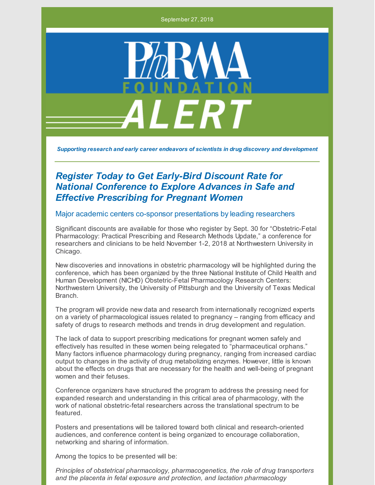September 27, 2018



*Supporting research and early career endeavors of scientists in drug discovery and development*

## *Register Today to Get Early-Bird Discount Rate for National Conference to Explore Advances in Safe and Effective Prescribing for Pregnant Women*

## Major academic centers co-sponsor presentations by leading researchers

Significant discounts are available for those who register by Sept. 30 for "Obstetric-Fetal Pharmacology: Practical Prescribing and Research Methods Update," a conference for researchers and clinicians to be held November 1-2, 2018 at Northwestern University in Chicago.

New discoveries and innovations in obstetric pharmacology will be highlighted during the conference, which has been organized by the three National Institute of Child Health and Human Development (NICHD) Obstetric-Fetal Pharmacology Research Centers: Northwestern University, the University of Pittsburgh and the University of Texas Medical **Branch** 

The program will provide new data and research from internationally recognized experts on a variety of pharmacological issues related to pregnancy – ranging from efficacy and safety of drugs to research methods and trends in drug development and regulation.

The lack of data to support prescribing medications for pregnant women safely and effectively has resulted in these women being relegated to "pharmaceutical orphans." Many factors influence pharmacology during pregnancy, ranging from increased cardiac output to changes in the activity of drug metabolizing enzymes. However, little is known about the effects on drugs that are necessary for the health and well-being of pregnant women and their fetuses.

Conference organizers have structured the program to address the pressing need for expanded research and understanding in this critical area of pharmacology, with the work of national obstetric-fetal researchers across the translational spectrum to be featured.

Posters and presentations will be tailored toward both clinical and research-oriented audiences, and conference content is being organized to encourage collaboration, networking and sharing of information.

Among the topics to be presented will be:

*Principles of obstetrical pharmacology, pharmacogenetics, the role of drug transporters and the placenta in fetal exposure and protection, and lactation pharmacology*